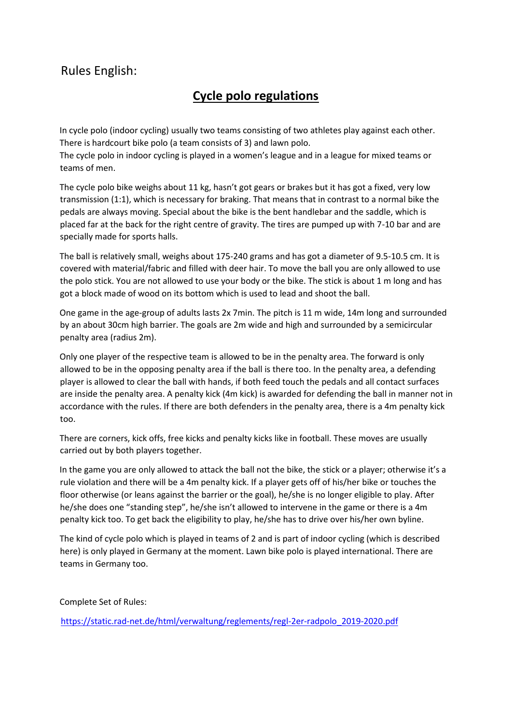## Rules English:

## **Cycle polo regulations**

In cycle polo (indoor cycling) usually two teams consisting of two athletes play against each other. There is hardcourt bike polo (a team consists of 3) and lawn polo.

The cycle polo in indoor cycling is played in a women's league and in a league for mixed teams or teams of men.

The cycle polo bike weighs about 11 kg, hasn't got gears or brakes but it has got a fixed, very low transmission (1:1), which is necessary for braking. That means that in contrast to a normal bike the pedals are always moving. Special about the bike is the bent handlebar and the saddle, which is placed far at the back for the right centre of gravity. The tires are pumped up with 7-10 bar and are specially made for sports halls.

The ball is relatively small, weighs about 175-240 grams and has got a diameter of 9.5-10.5 cm. It is covered with material/fabric and filled with deer hair. To move the ball you are only allowed to use the polo stick. You are not allowed to use your body or the bike. The stick is about 1 m long and has got a block made of wood on its bottom which is used to lead and shoot the ball.

One game in the age-group of adults lasts 2x 7min. The pitch is 11 m wide, 14m long and surrounded by an about 30cm high barrier. The goals are 2m wide and high and surrounded by a semicircular penalty area (radius 2m).

Only one player of the respective team is allowed to be in the penalty area. The forward is only allowed to be in the opposing penalty area if the ball is there too. In the penalty area, a defending player is allowed to clear the ball with hands, if both feed touch the pedals and all contact surfaces are inside the penalty area. A penalty kick (4m kick) is awarded for defending the ball in manner not in accordance with the rules. If there are both defenders in the penalty area, there is a 4m penalty kick too.

There are corners, kick offs, free kicks and penalty kicks like in football. These moves are usually carried out by both players together.

In the game you are only allowed to attack the ball not the bike, the stick or a player; otherwise it's a rule violation and there will be a 4m penalty kick. If a player gets off of his/her bike or touches the floor otherwise (or leans against the barrier or the goal), he/she is no longer eligible to play. After he/she does one "standing step", he/she isn't allowed to intervene in the game or there is a 4m penalty kick too. To get back the eligibility to play, he/she has to drive over his/her own byline.

The kind of cycle polo which is played in teams of 2 and is part of indoor cycling (which is described here) is only played in Germany at the moment. Lawn bike polo is played international. There are teams in Germany too.

Complete Set of Rules:

[https://static.rad-net.de/html/verwaltung/reglements/regl-2er-radpolo\\_2019-2020.pdf](https://static.rad-net.de/html/verwaltung/reglements/regl-2er-radpolo_2019-2020.pdf)